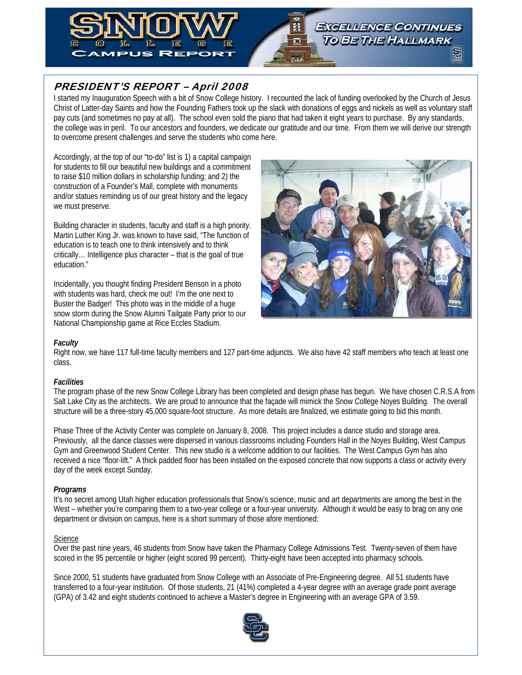

# PRESIDENT'S REPORT – April 2008

I started my Inauguration Speech with a bit of Snow College history. I recounted the lack of funding overlooked by the Church of Jesus Christ of Latter-day Saints and how the Founding Fathers took up the slack with donations of eggs and nickels as well as voluntary staff pay cuts (and sometimes no pay at all). The school even sold the piano that had taken it eight years to purchase. By any standards, the college was in peril. To our ancestors and founders, we dedicate our gratitude and our time. From them we will derive our strength to overcome present challenges and serve the students who come here.

Accordingly, at the top of our "to-do" list is 1) a capital campaign for students to fill our beautiful new buildings and a commitment to raise \$10 million dollars in scholarship funding; and 2) the construction of a Founder's Mall, complete with monuments and/or statues reminding us of our great history and the legacy we must preserve.

Building character in students, faculty and staff is a high priority. Martin Luther King Jr. was known to have said, "The function of education is to teach one to think intensively and to think critically… Intelligence plus character – that is the goal of true education."

Incidentally, you thought finding President Benson in a photo with students was hard, check me out! I'm the one next to Buster the Badger! This photo was in the middle of a huge snow storm during the Snow Alumni Tailgate Party prior to our National Championship game at Rice Eccles Stadium.



# *Faculty*

Right now, we have 117 full-time faculty members and 127 part-time adjuncts. We also have 42 staff members who teach at least one class.

## *Facilities*

The program phase of the new Snow College Library has been completed and design phase has begun. We have chosen C.R.S.A from Salt Lake City as the architects. We are proud to announce that the façade will mimick the Snow College Noyes Building. The overall structure will be a three-story 45,000 square-foot structure. As more details are finalized, we estimate going to bid this month.

Phase Three of the Activity Center was complete on January 8, 2008. This project includes a dance studio and storage area. Previously, all the dance classes were dispersed in various classrooms including Founders Hall in the Noyes Building, West Campus Gym and Greenwood Student Center. This new studio is a welcome addition to our facilities. The West Campus Gym has also received a nice "floor-lift." A thick padded floor has been installed on the exposed concrete that now supports a class or activity every day of the week except Sunday.

# *Programs*

It's no secret among Utah higher education professionals that Snow's science, music and art departments are among the best in the West – whether you're comparing them to a two-year college or a four-year university. Although it would be easy to brag on any one department or division on campus, here is a short summary of those afore mentioned:

## **Science**

Over the past nine years, 46 students from Snow have taken the Pharmacy College Admissions Test. Twenty-seven of them have scored in the 95 percentile or higher (eight scored 99 percent). Thirty-eight have been accepted into pharmacy schools.

Since 2000, 51 students have graduated from Snow College with an Associate of Pre-Engineering degree. All 51 students have transferred to a four-year institution. Of those students, 21 (41%) completed a 4-year degree with an average grade point average (GPA) of 3.42 and eight students continued to achieve a Master's degree in Engineering with an average GPA of 3.59.